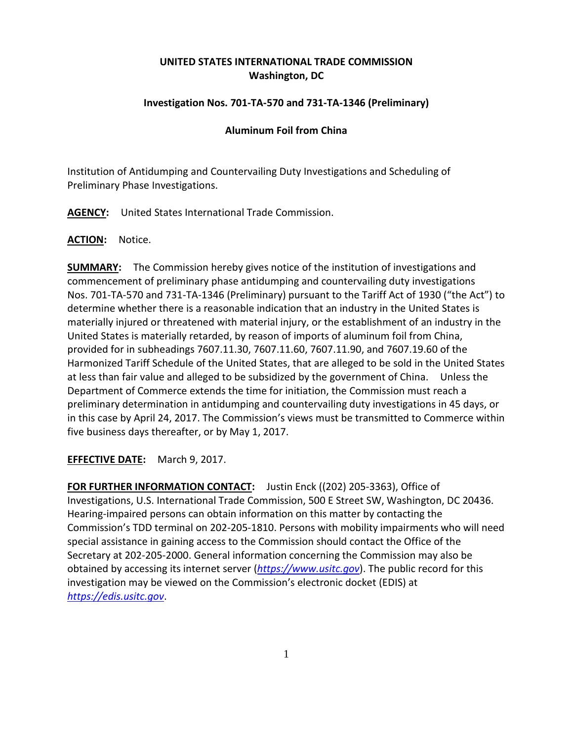## **UNITED STATES INTERNATIONAL TRADE COMMISSION Washington, DC**

## **Investigation Nos. 701-TA-570 and 731-TA-1346 (Preliminary)**

## **Aluminum Foil from China**

Institution of Antidumping and Countervailing Duty Investigations and Scheduling of Preliminary Phase Investigations.

**AGENCY:** United States International Trade Commission.

**ACTION:** Notice.

**SUMMARY:** The Commission hereby gives notice of the institution of investigations and commencement of preliminary phase antidumping and countervailing duty investigations Nos. 701-TA-570 and 731-TA-1346 (Preliminary) pursuant to the Tariff Act of 1930 ("the Act") to determine whether there is a reasonable indication that an industry in the United States is materially injured or threatened with material injury, or the establishment of an industry in the United States is materially retarded, by reason of imports of aluminum foil from China, provided for in subheadings 7607.11.30, 7607.11.60, 7607.11.90, and 7607.19.60 of the Harmonized Tariff Schedule of the United States, that are alleged to be sold in the United States at less than fair value and alleged to be subsidized by the government of China. Unless the Department of Commerce extends the time for initiation, the Commission must reach a preliminary determination in antidumping and countervailing duty investigations in 45 days, or in this case by April 24, 2017. The Commission's views must be transmitted to Commerce within five business days thereafter, or by May 1, 2017.

**EFFECTIVE DATE:** March 9, 2017.

**FOR FURTHER INFORMATION CONTACT:** Justin Enck ((202) 205-3363), Office of Investigations, U.S. International Trade Commission, 500 E Street SW, Washington, DC 20436. Hearing-impaired persons can obtain information on this matter by contacting the Commission's TDD terminal on 202-205-1810. Persons with mobility impairments who will need special assistance in gaining access to the Commission should contact the Office of the Secretary at 202-205-2000. General information concerning the Commission may also be obtained by accessing its internet server (*[https://www.usitc.gov](https://www.usitc.gov/)*). The public record for this investigation may be viewed on the Commission's electronic docket (EDIS) at *[https://edis.usitc.gov](https://edis.usitc.gov/)*.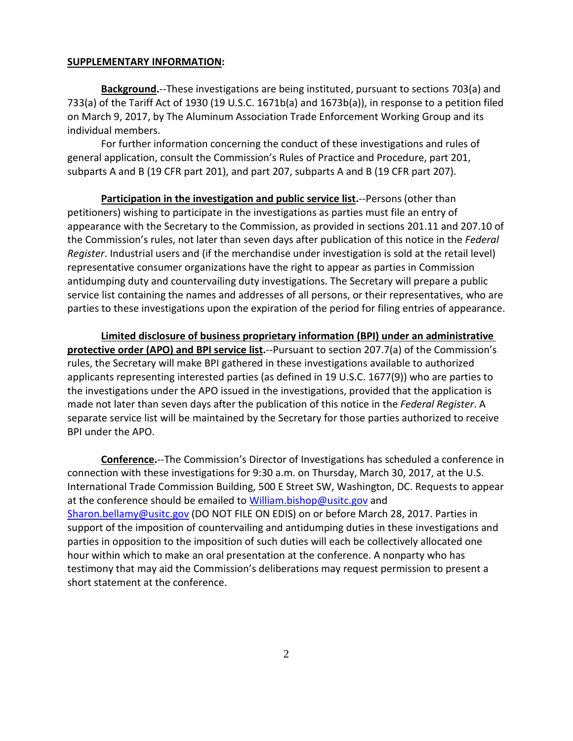## **SUPPLEMENTARY INFORMATION:**

**Background.**--These investigations are being instituted, pursuant to sections 703(a) and 733(a) of the Tariff Act of 1930 (19 U.S.C. 1671b(a) and 1673b(a)), in response to a petition filed on March 9, 2017, by The Aluminum Association Trade Enforcement Working Group and its individual members.

For further information concerning the conduct of these investigations and rules of general application, consult the Commission's Rules of Practice and Procedure, part 201, subparts A and B (19 CFR part 201), and part 207, subparts A and B (19 CFR part 207).

**Participation in the investigation and public service list.**--Persons (other than petitioners) wishing to participate in the investigations as parties must file an entry of appearance with the Secretary to the Commission, as provided in sections 201.11 and 207.10 of the Commission's rules, not later than seven days after publication of this notice in the *Federal Register*. Industrial users and (if the merchandise under investigation is sold at the retail level) representative consumer organizations have the right to appear as parties in Commission antidumping duty and countervailing duty investigations. The Secretary will prepare a public service list containing the names and addresses of all persons, or their representatives, who are parties to these investigations upon the expiration of the period for filing entries of appearance.

**Limited disclosure of business proprietary information (BPI) under an administrative protective order (APO) and BPI service list.**--Pursuant to section 207.7(a) of the Commission's rules, the Secretary will make BPI gathered in these investigations available to authorized applicants representing interested parties (as defined in 19 U.S.C. 1677(9)) who are parties to the investigations under the APO issued in the investigations, provided that the application is made not later than seven days after the publication of this notice in the *Federal Register*. A separate service list will be maintained by the Secretary for those parties authorized to receive BPI under the APO.

**Conference.**--The Commission's Director of Investigations has scheduled a conference in connection with these investigations for 9:30 a.m. on Thursday, March 30, 2017, at the U.S. International Trade Commission Building, 500 E Street SW, Washington, DC. Requests to appear at the conference should be emailed to [William.bishop@usitc.gov](mailto:William.bishop@usitc.gov) and [Sharon.bellamy@usitc.gov](mailto:Sharon.bellamy@usitc.gov)) (DO NOT FILE ON EDIS) on or before March 28, 2017. Parties in support of the imposition of countervailing and antidumping duties in these investigations and parties in opposition to the imposition of such duties will each be collectively allocated one hour within which to make an oral presentation at the conference. A nonparty who has testimony that may aid the Commission's deliberations may request permission to present a short statement at the conference.